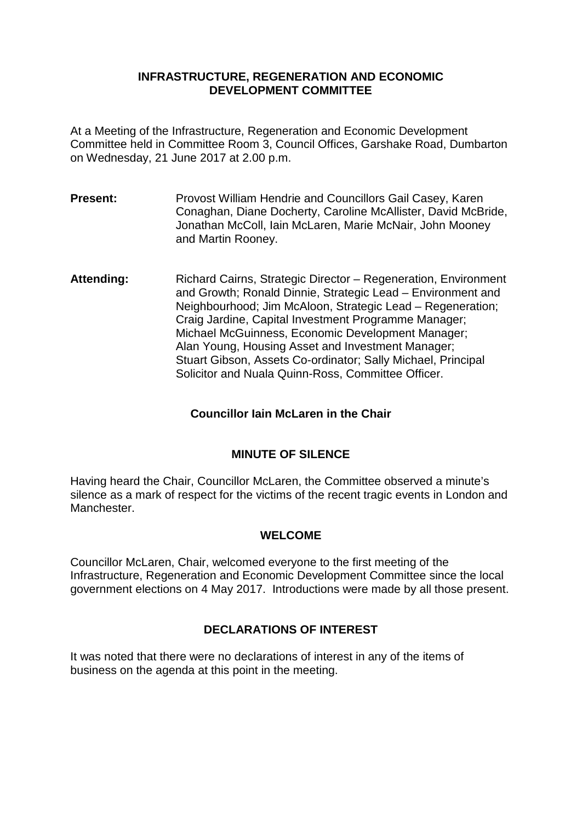#### **INFRASTRUCTURE, REGENERATION AND ECONOMIC DEVELOPMENT COMMITTEE**

At a Meeting of the Infrastructure, Regeneration and Economic Development Committee held in Committee Room 3, Council Offices, Garshake Road, Dumbarton on Wednesday, 21 June 2017 at 2.00 p.m.

- **Present:** Provost William Hendrie and Councillors Gail Casey, Karen Conaghan, Diane Docherty, Caroline McAllister, David McBride, Jonathan McColl, Iain McLaren, Marie McNair, John Mooney and Martin Rooney.
- **Attending:** Richard Cairns, Strategic Director Regeneration, Environment and Growth; Ronald Dinnie, Strategic Lead – Environment and Neighbourhood; Jim McAloon, Strategic Lead – Regeneration; Craig Jardine, Capital Investment Programme Manager; Michael McGuinness, Economic Development Manager; Alan Young, Housing Asset and Investment Manager; Stuart Gibson, Assets Co-ordinator; Sally Michael, Principal Solicitor and Nuala Quinn-Ross, Committee Officer.

# **Councillor Iain McLaren in the Chair**

### **MINUTE OF SILENCE**

Having heard the Chair, Councillor McLaren, the Committee observed a minute's silence as a mark of respect for the victims of the recent tragic events in London and Manchester.

### **WELCOME**

Councillor McLaren, Chair, welcomed everyone to the first meeting of the Infrastructure, Regeneration and Economic Development Committee since the local government elections on 4 May 2017. Introductions were made by all those present.

### **DECLARATIONS OF INTEREST**

It was noted that there were no declarations of interest in any of the items of business on the agenda at this point in the meeting.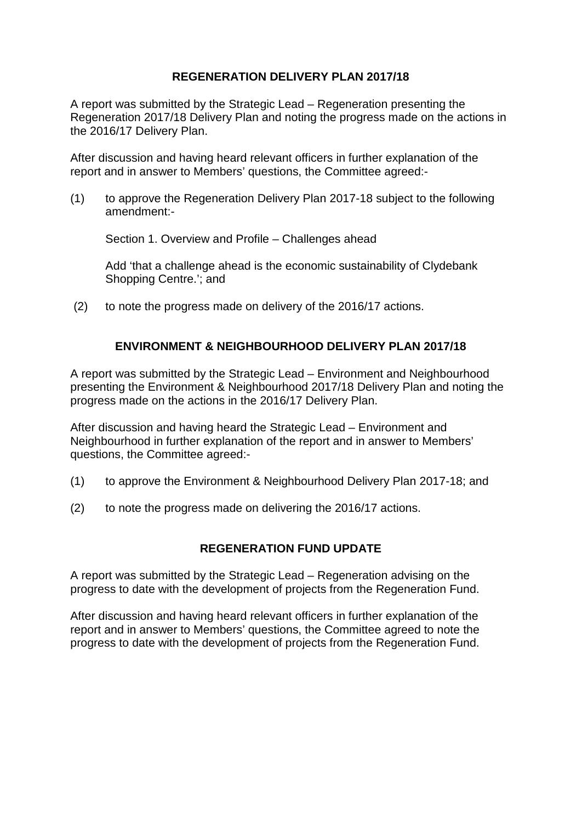## **REGENERATION DELIVERY PLAN 2017/18**

A report was submitted by the Strategic Lead – Regeneration presenting the Regeneration 2017/18 Delivery Plan and noting the progress made on the actions in the 2016/17 Delivery Plan.

After discussion and having heard relevant officers in further explanation of the report and in answer to Members' questions, the Committee agreed:-

(1) to approve the Regeneration Delivery Plan 2017-18 subject to the following amendment:-

Section 1. Overview and Profile – Challenges ahead

Add 'that a challenge ahead is the economic sustainability of Clydebank Shopping Centre.'; and

(2) to note the progress made on delivery of the 2016/17 actions.

## **ENVIRONMENT & NEIGHBOURHOOD DELIVERY PLAN 2017/18**

A report was submitted by the Strategic Lead – Environment and Neighbourhood presenting the Environment & Neighbourhood 2017/18 Delivery Plan and noting the progress made on the actions in the 2016/17 Delivery Plan.

After discussion and having heard the Strategic Lead – Environment and Neighbourhood in further explanation of the report and in answer to Members' questions, the Committee agreed:-

- (1) to approve the Environment & Neighbourhood Delivery Plan 2017-18; and
- (2) to note the progress made on delivering the 2016/17 actions.

### **REGENERATION FUND UPDATE**

A report was submitted by the Strategic Lead – Regeneration advising on the progress to date with the development of projects from the Regeneration Fund.

After discussion and having heard relevant officers in further explanation of the report and in answer to Members' questions, the Committee agreed to note the progress to date with the development of projects from the Regeneration Fund.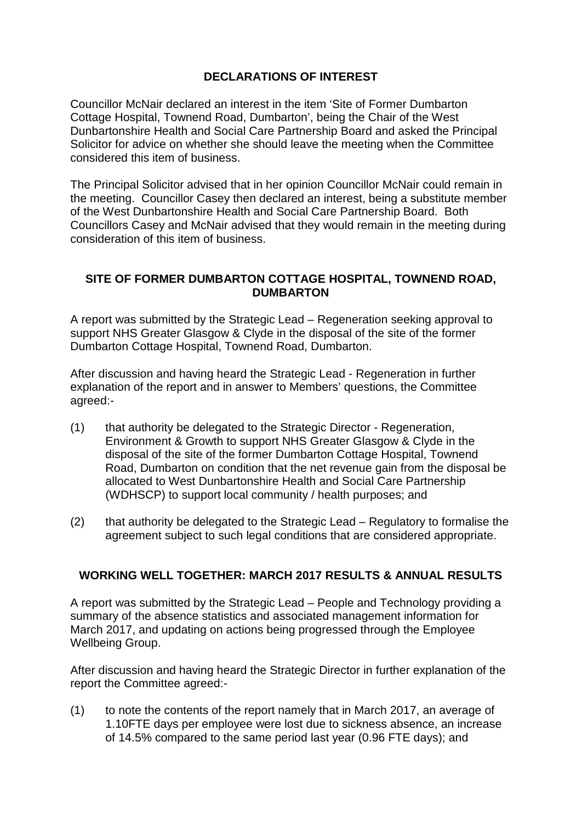# **DECLARATIONS OF INTEREST**

Councillor McNair declared an interest in the item 'Site of Former Dumbarton Cottage Hospital, Townend Road, Dumbarton', being the Chair of the West Dunbartonshire Health and Social Care Partnership Board and asked the Principal Solicitor for advice on whether she should leave the meeting when the Committee considered this item of business.

The Principal Solicitor advised that in her opinion Councillor McNair could remain in the meeting. Councillor Casey then declared an interest, being a substitute member of the West Dunbartonshire Health and Social Care Partnership Board. Both Councillors Casey and McNair advised that they would remain in the meeting during consideration of this item of business.

#### **SITE OF FORMER DUMBARTON COTTAGE HOSPITAL, TOWNEND ROAD, DUMBARTON**

A report was submitted by the Strategic Lead – Regeneration seeking approval to support NHS Greater Glasgow & Clyde in the disposal of the site of the former Dumbarton Cottage Hospital, Townend Road, Dumbarton.

After discussion and having heard the Strategic Lead - Regeneration in further explanation of the report and in answer to Members' questions, the Committee agreed:-

- (1) that authority be delegated to the Strategic Director Regeneration, Environment & Growth to support NHS Greater Glasgow & Clyde in the disposal of the site of the former Dumbarton Cottage Hospital, Townend Road, Dumbarton on condition that the net revenue gain from the disposal be allocated to West Dunbartonshire Health and Social Care Partnership (WDHSCP) to support local community / health purposes; and
- (2) that authority be delegated to the Strategic Lead Regulatory to formalise the agreement subject to such legal conditions that are considered appropriate.

### **WORKING WELL TOGETHER: MARCH 2017 RESULTS & ANNUAL RESULTS**

A report was submitted by the Strategic Lead – People and Technology providing a summary of the absence statistics and associated management information for March 2017, and updating on actions being progressed through the Employee Wellbeing Group.

After discussion and having heard the Strategic Director in further explanation of the report the Committee agreed:-

(1) to note the contents of the report namely that in March 2017, an average of 1.10FTE days per employee were lost due to sickness absence, an increase of 14.5% compared to the same period last year (0.96 FTE days); and